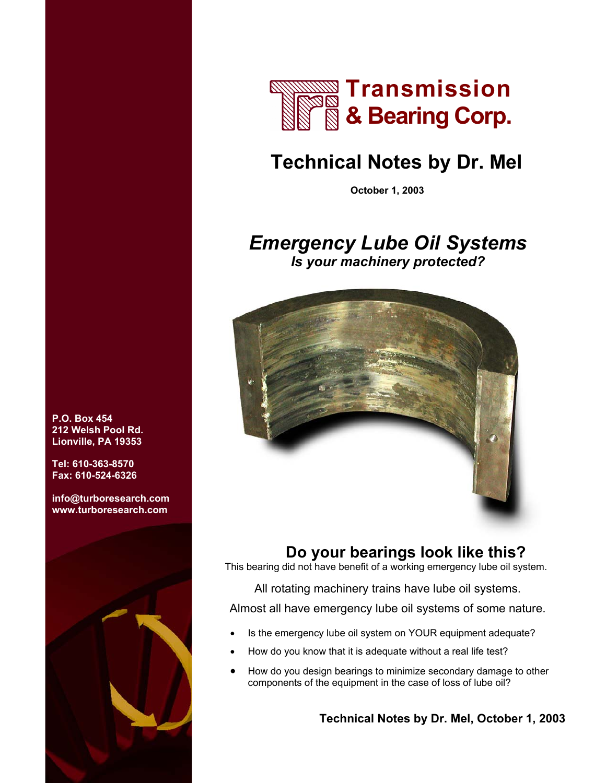

# **Technical Notes by Dr. Mel**

**October 1, 2003** 

### *Emergency Lube Oil Systems Is your machinery protected?*



## **Do your bearings look like this?**

This bearing did not have benefit of a working emergency lube oil system.

All rotating machinery trains have lube oil systems.

Almost all have emergency lube oil systems of some nature.

- Is the emergency lube oil system on YOUR equipment adequate?
- How do you know that it is adequate without a real life test?
- How do you design bearings to minimize secondary damage to other components of the equipment in the case of loss of lube oil?

**Technical Notes by Dr. Mel, October 1, 2003** 

**P.O. Box 454 212 Welsh Pool Rd. Lionville, PA 19353** 

**Tel: 610-363-8570 Fax: 610-524-6326** 

**info@turboresearch.com www.turboresearch.com**